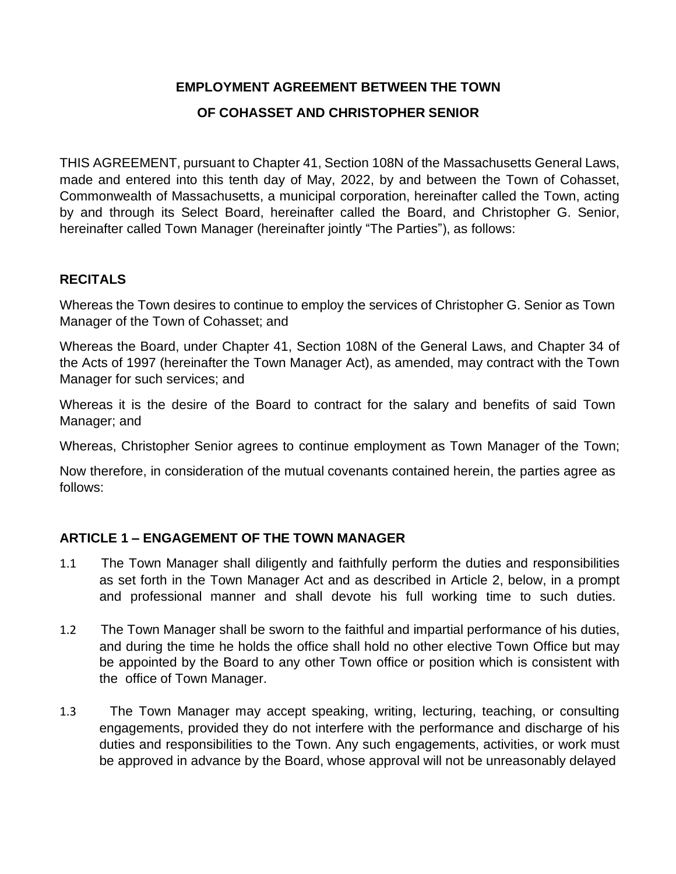# **EMPLOYMENT AGREEMENT BETWEEN THE TOWN**

### **OF COHASSET AND CHRISTOPHER SENIOR**

THIS AGREEMENT, pursuant to Chapter 41, Section 108N of the Massachusetts General Laws, made and entered into this tenth day of May, 2022, by and between the Town of Cohasset, Commonwealth of Massachusetts, a municipal corporation, hereinafter called the Town, acting by and through its Select Board, hereinafter called the Board, and Christopher G. Senior, hereinafter called Town Manager (hereinafter jointly "The Parties"), as follows:

#### **RECITALS**

Whereas the Town desires to continue to employ the services of Christopher G. Senior as Town Manager of the Town of Cohasset; and

Whereas the Board, under Chapter 41, Section 108N of the General Laws, and Chapter 34 of the Acts of 1997 (hereinafter the Town Manager Act), as amended, may contract with the Town Manager for such services; and

Whereas it is the desire of the Board to contract for the salary and benefits of said Town Manager; and

Whereas, Christopher Senior agrees to continue employment as Town Manager of the Town;

Now therefore, in consideration of the mutual covenants contained herein, the parties agree as follows:

# **ARTICLE 1 – ENGAGEMENT OF THE TOWN MANAGER**

- 1.1 The Town Manager shall diligently and faithfully perform the duties and responsibilities as set forth in the Town Manager Act and as described in Article 2, below, in a prompt and professional manner and shall devote his full working time to such duties.
- 1.2 The Town Manager shall be sworn to the faithful and impartial performance of his duties, and during the time he holds the office shall hold no other elective Town Office but may be appointed by the Board to any other Town office or position which is consistent with the office of Town Manager.
- 1.3 The Town Manager may accept speaking, writing, lecturing, teaching, or consulting engagements, provided they do not interfere with the performance and discharge of his duties and responsibilities to the Town. Any such engagements, activities, or work must be approved in advance by the Board, whose approval will not be unreasonably delayed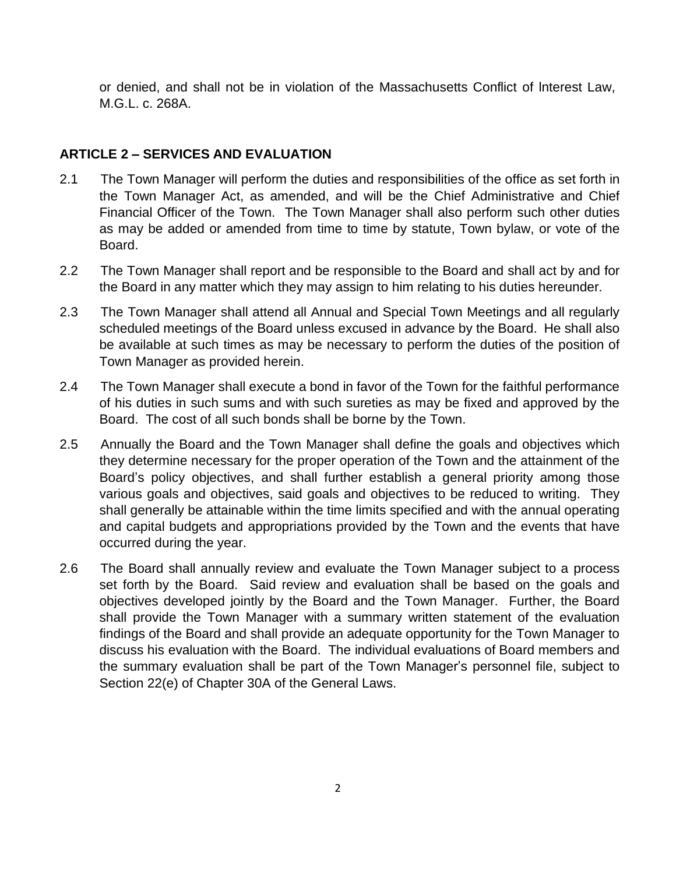or denied, and shall not be in violation of the Massachusetts Conflict of lnterest Law, M.G.L. c. 268A.

### **ARTICLE 2 – SERVICES AND EVALUATION**

- 2.1 The Town Manager will perform the duties and responsibilities of the office as set forth in the Town Manager Act, as amended, and will be the Chief Administrative and Chief Financial Officer of the Town. The Town Manager shall also perform such other duties as may be added or amended from time to time by statute, Town bylaw, or vote of the Board.
- 2.2 The Town Manager shall report and be responsible to the Board and shall act by and for the Board in any matter which they may assign to him relating to his duties hereunder.
- 2.3 The Town Manager shall attend all Annual and Special Town Meetings and all regularly scheduled meetings of the Board unless excused in advance by the Board. He shall also be available at such times as may be necessary to perform the duties of the position of Town Manager as provided herein.
- 2.4 The Town Manager shall execute a bond in favor of the Town for the faithful performance of his duties in such sums and with such sureties as may be fixed and approved by the Board. The cost of all such bonds shall be borne by the Town.
- 2.5 Annually the Board and the Town Manager shall define the goals and objectives which they determine necessary for the proper operation of the Town and the attainment of the Board's policy objectives, and shall further establish a general priority among those various goals and objectives, said goals and objectives to be reduced to writing. They shall generally be attainable within the time limits specified and with the annual operating and capital budgets and appropriations provided by the Town and the events that have occurred during the year.
- 2.6 The Board shall annually review and evaluate the Town Manager subject to a process set forth by the Board. Said review and evaluation shall be based on the goals and objectives developed jointly by the Board and the Town Manager. Further, the Board shall provide the Town Manager with a summary written statement of the evaluation findings of the Board and shall provide an adequate opportunity for the Town Manager to discuss his evaluation with the Board. The individual evaluations of Board members and the summary evaluation shall be part of the Town Manager's personnel file, subject to Section 22(e) of Chapter 30A of the General Laws.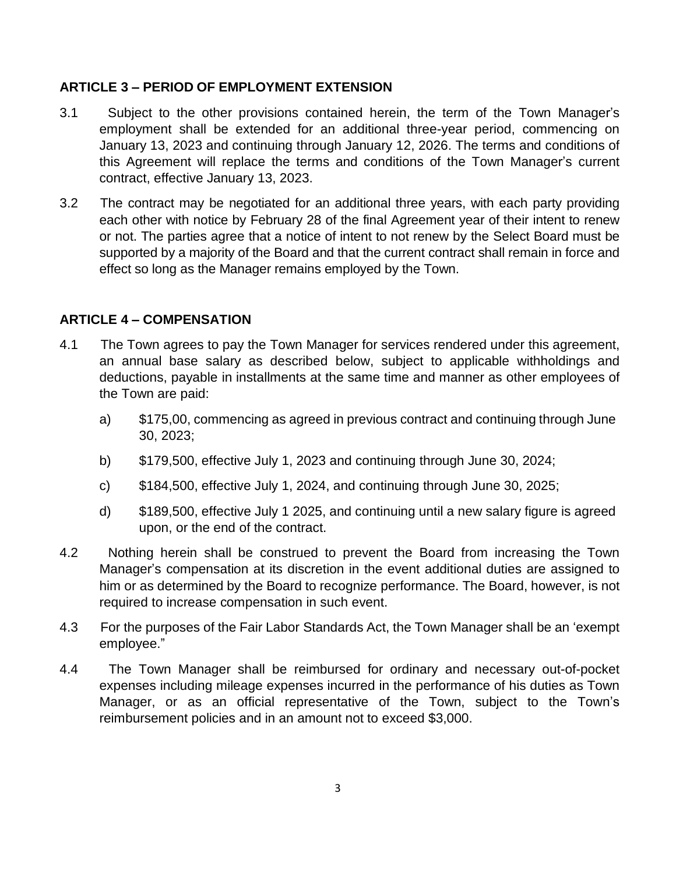#### **ARTICLE 3 – PERIOD OF EMPLOYMENT EXTENSION**

- 3.1 Subject to the other provisions contained herein, the term of the Town Manager's employment shall be extended for an additional three-year period, commencing on January 13, 2023 and continuing through January 12, 2026. The terms and conditions of this Agreement will replace the terms and conditions of the Town Manager's current contract, effective January 13, 2023.
- 3.2 The contract may be negotiated for an additional three years, with each party providing each other with notice by February 28 of the final Agreement year of their intent to renew or not. The parties agree that a notice of intent to not renew by the Select Board must be supported by a majority of the Board and that the current contract shall remain in force and effect so long as the Manager remains employed by the Town.

# **ARTICLE 4 – COMPENSATION**

- 4.1 The Town agrees to pay the Town Manager for services rendered under this agreement, an annual base salary as described below, subject to applicable withholdings and deductions, payable in installments at the same time and manner as other employees of the Town are paid:
	- a) \$175,00, commencing as agreed in previous contract and continuing through June 30, 2023;
	- b) \$179,500, effective July 1, 2023 and continuing through June 30, 2024;
	- c) \$184,500, effective July 1, 2024, and continuing through June 30, 2025;
	- d) \$189,500, effective July 1 2025, and continuing until a new salary figure is agreed upon, or the end of the contract.
- 4.2 Nothing herein shall be construed to prevent the Board from increasing the Town Manager's compensation at its discretion in the event additional duties are assigned to him or as determined by the Board to recognize performance. The Board, however, is not required to increase compensation in such event.
- 4.3 For the purposes of the Fair Labor Standards Act, the Town Manager shall be an 'exempt employee."
- 4.4 The Town Manager shall be reimbursed for ordinary and necessary out-of-pocket expenses including mileage expenses incurred in the performance of his duties as Town Manager, or as an official representative of the Town, subject to the Town's reimbursement policies and in an amount not to exceed \$3,000.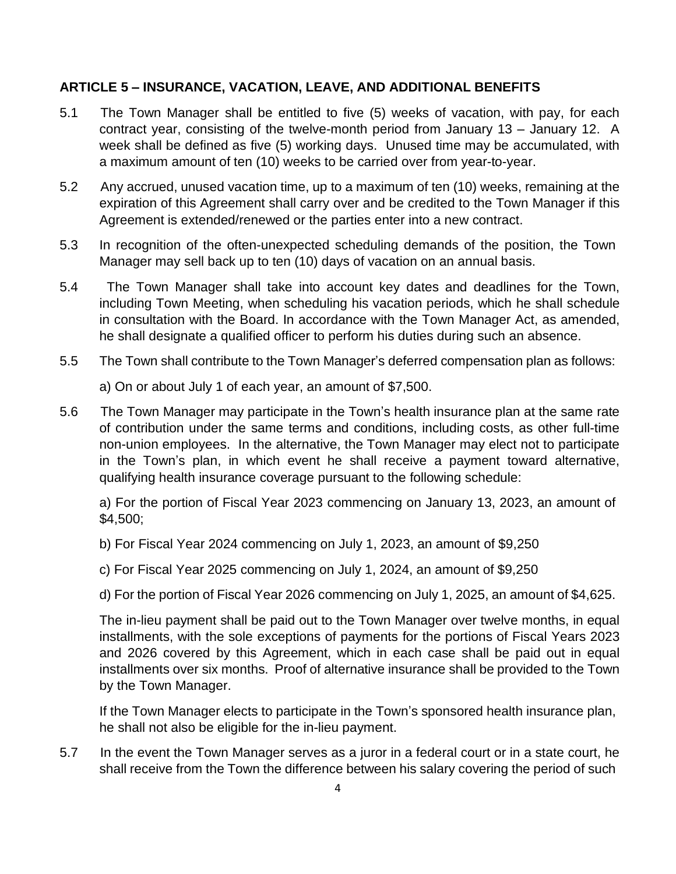#### **ARTICLE 5 – INSURANCE, VACATION, LEAVE, AND ADDITIONAL BENEFITS**

- 5.1 The Town Manager shall be entitled to five (5) weeks of vacation, with pay, for each contract year, consisting of the twelve-month period from January 13 – January 12. A week shall be defined as five (5) working days. Unused time may be accumulated, with a maximum amount of ten (10) weeks to be carried over from year-to-year.
- 5.2 Any accrued, unused vacation time, up to a maximum of ten (10) weeks, remaining at the expiration of this Agreement shall carry over and be credited to the Town Manager if this Agreement is extended/renewed or the parties enter into a new contract.
- 5.3 In recognition of the often-unexpected scheduling demands of the position, the Town Manager may sell back up to ten (10) days of vacation on an annual basis.
- 5.4 The Town Manager shall take into account key dates and deadlines for the Town, including Town Meeting, when scheduling his vacation periods, which he shall schedule in consultation with the Board. In accordance with the Town Manager Act, as amended, he shall designate a qualified officer to perform his duties during such an absence.
- 5.5 The Town shall contribute to the Town Manager's deferred compensation plan as follows:

a) On or about July 1 of each year, an amount of \$7,500.

5.6 The Town Manager may participate in the Town's health insurance plan at the same rate of contribution under the same terms and conditions, including costs, as other full-time non-union employees. In the alternative, the Town Manager may elect not to participate in the Town's plan, in which event he shall receive a payment toward alternative, qualifying health insurance coverage pursuant to the following schedule:

a) For the portion of Fiscal Year 2023 commencing on January 13, 2023, an amount of \$4,500;

- b) For Fiscal Year 2024 commencing on July 1, 2023, an amount of \$9,250
- c) For Fiscal Year 2025 commencing on July 1, 2024, an amount of \$9,250
- d) For the portion of Fiscal Year 2026 commencing on July 1, 2025, an amount of \$4,625.

The in-lieu payment shall be paid out to the Town Manager over twelve months, in equal installments, with the sole exceptions of payments for the portions of Fiscal Years 2023 and 2026 covered by this Agreement, which in each case shall be paid out in equal installments over six months. Proof of alternative insurance shall be provided to the Town by the Town Manager.

If the Town Manager elects to participate in the Town's sponsored health insurance plan, he shall not also be eligible for the in-lieu payment.

5.7 In the event the Town Manager serves as a juror in a federal court or in a state court, he shall receive from the Town the difference between his salary covering the period of such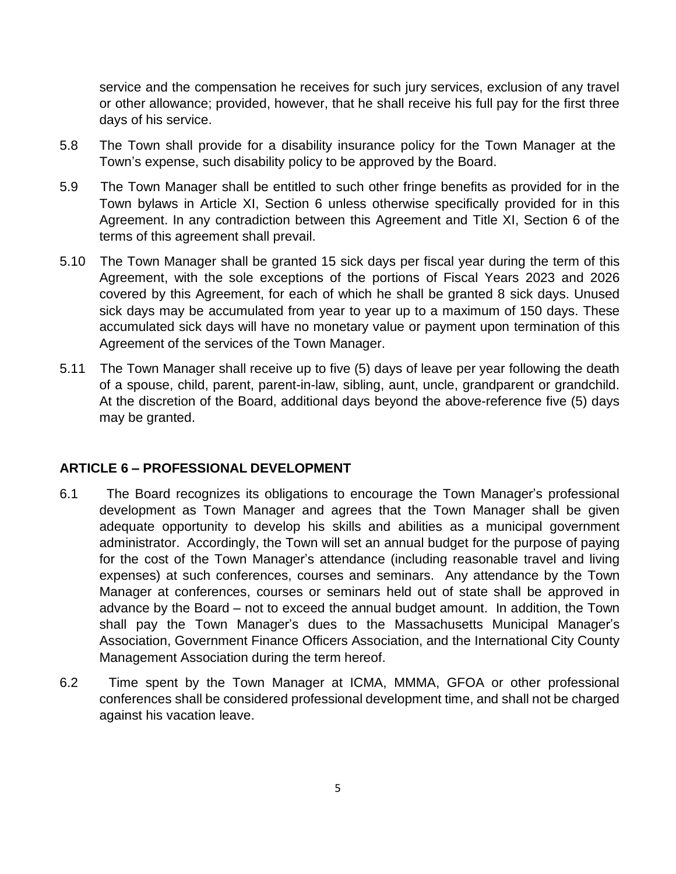service and the compensation he receives for such jury services, exclusion of any travel or other allowance; provided, however, that he shall receive his full pay for the first three days of his service.

- 5.8 The Town shall provide for a disability insurance policy for the Town Manager at the Town's expense, such disability policy to be approved by the Board.
- 5.9 The Town Manager shall be entitled to such other fringe benefits as provided for in the Town bylaws in Article XI, Section 6 unless otherwise specifically provided for in this Agreement. In any contradiction between this Agreement and Title XI, Section 6 of the terms of this agreement shall prevail.
- 5.10 The Town Manager shall be granted 15 sick days per fiscal year during the term of this Agreement, with the sole exceptions of the portions of Fiscal Years 2023 and 2026 covered by this Agreement, for each of which he shall be granted 8 sick days. Unused sick days may be accumulated from year to year up to a maximum of 150 days. These accumulated sick days will have no monetary value or payment upon termination of this Agreement of the services of the Town Manager.
- 5.11 The Town Manager shall receive up to five (5) days of leave per year following the death of a spouse, child, parent, parent-in-law, sibling, aunt, uncle, grandparent or grandchild. At the discretion of the Board, additional days beyond the above-reference five (5) days may be granted.

#### **ARTICLE 6 – PROFESSIONAL DEVELOPMENT**

- 6.1 The Board recognizes its obligations to encourage the Town Manager's professional development as Town Manager and agrees that the Town Manager shall be given adequate opportunity to develop his skills and abilities as a municipal government administrator. Accordingly, the Town will set an annual budget for the purpose of paying for the cost of the Town Manager's attendance (including reasonable travel and living expenses) at such conferences, courses and seminars. Any attendance by the Town Manager at conferences, courses or seminars held out of state shall be approved in advance by the Board – not to exceed the annual budget amount. In addition, the Town shall pay the Town Manager's dues to the Massachusetts Municipal Manager's Association, Government Finance Officers Association, and the International City County Management Association during the term hereof.
- 6.2 Time spent by the Town Manager at ICMA, MMMA, GFOA or other professional conferences shall be considered professional development time, and shall not be charged against his vacation leave.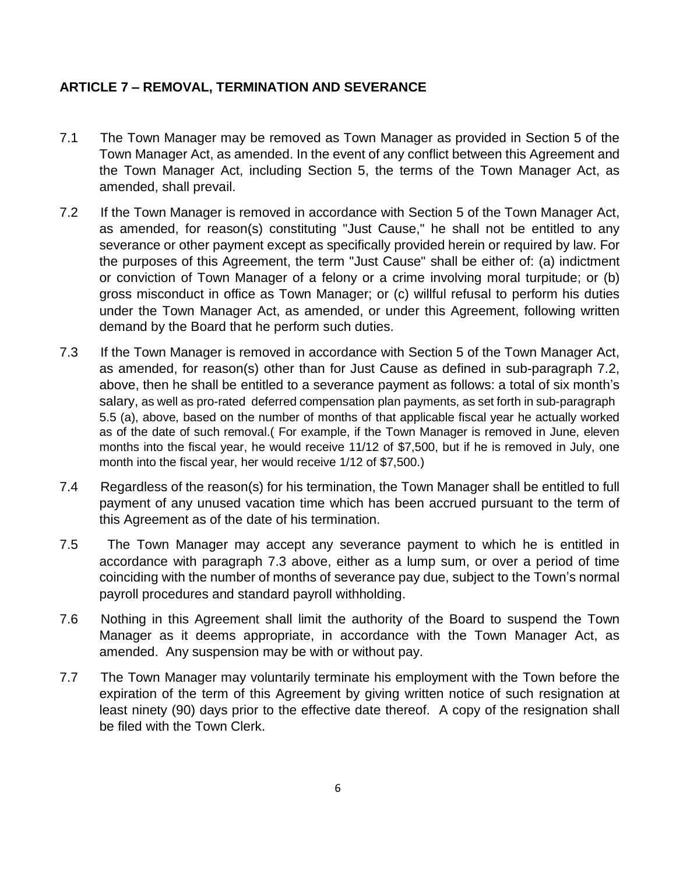# **ARTICLE 7 – REMOVAL, TERMINATION AND SEVERANCE**

- 7.1 The Town Manager may be removed as Town Manager as provided in Section 5 of the Town Manager Act, as amended. In the event of any conflict between this Agreement and the Town Manager Act, including Section 5, the terms of the Town Manager Act, as amended, shall prevail.
- 7.2 If the Town Manager is removed in accordance with Section 5 of the Town Manager Act, as amended, for reason(s) constituting "Just Cause," he shall not be entitled to any severance or other payment except as specifically provided herein or required by law. For the purposes of this Agreement, the term "Just Cause" shall be either of: (a) indictment or conviction of Town Manager of a felony or a crime involving moral turpitude; or (b) gross misconduct in office as Town Manager; or (c) willful refusal to perform his duties under the Town Manager Act, as amended, or under this Agreement, following written demand by the Board that he perform such duties.
- 7.3 If the Town Manager is removed in accordance with Section 5 of the Town Manager Act, as amended, for reason(s) other than for Just Cause as defined in sub-paragraph 7.2, above, then he shall be entitled to a severance payment as follows: a total of six month's salary, as well as pro-rated deferred compensation plan payments, as set forth in sub-paragraph 5.5 (a), above, based on the number of months of that applicable fiscal year he actually worked as of the date of such removal.( For example, if the Town Manager is removed in June, eleven months into the fiscal year, he would receive 11/12 of \$7,500, but if he is removed in July, one month into the fiscal year, her would receive 1/12 of \$7,500.)
- 7.4 Regardless of the reason(s) for his termination, the Town Manager shall be entitled to full payment of any unused vacation time which has been accrued pursuant to the term of this Agreement as of the date of his termination.
- 7.5 The Town Manager may accept any severance payment to which he is entitled in accordance with paragraph 7.3 above, either as a lump sum, or over a period of time coinciding with the number of months of severance pay due, subject to the Town's normal payroll procedures and standard payroll withholding.
- 7.6 Nothing in this Agreement shall limit the authority of the Board to suspend the Town Manager as it deems appropriate, in accordance with the Town Manager Act, as amended. Any suspension may be with or without pay.
- 7.7 The Town Manager may voluntarily terminate his employment with the Town before the expiration of the term of this Agreement by giving written notice of such resignation at least ninety (90) days prior to the effective date thereof. A copy of the resignation shall be filed with the Town Clerk.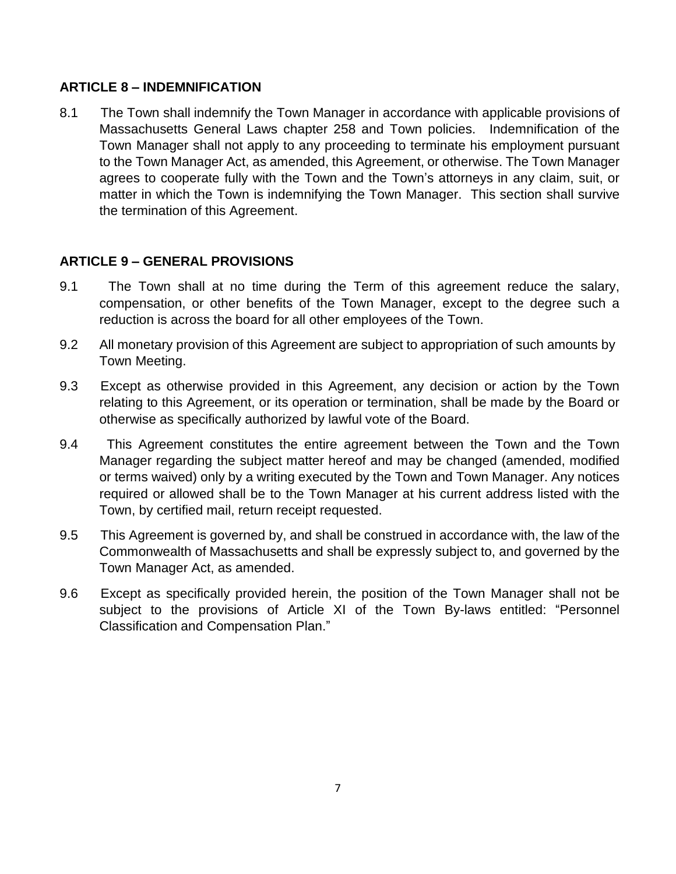#### **ARTICLE 8 – INDEMNIFICATION**

8.1 The Town shall indemnify the Town Manager in accordance with applicable provisions of Massachusetts General Laws chapter 258 and Town policies. Indemnification of the Town Manager shall not apply to any proceeding to terminate his employment pursuant to the Town Manager Act, as amended, this Agreement, or otherwise. The Town Manager agrees to cooperate fully with the Town and the Town's attorneys in any claim, suit, or matter in which the Town is indemnifying the Town Manager. This section shall survive the termination of this Agreement.

# **ARTICLE 9 – GENERAL PROVISIONS**

- 9.1 The Town shall at no time during the Term of this agreement reduce the salary, compensation, or other benefits of the Town Manager, except to the degree such a reduction is across the board for all other employees of the Town.
- 9.2 All monetary provision of this Agreement are subject to appropriation of such amounts by Town Meeting.
- 9.3 Except as otherwise provided in this Agreement, any decision or action by the Town relating to this Agreement, or its operation or termination, shall be made by the Board or otherwise as specifically authorized by lawful vote of the Board.
- 9.4 This Agreement constitutes the entire agreement between the Town and the Town Manager regarding the subject matter hereof and may be changed (amended, modified or terms waived) only by a writing executed by the Town and Town Manager. Any notices required or allowed shall be to the Town Manager at his current address listed with the Town, by certified mail, return receipt requested.
- 9.5 This Agreement is governed by, and shall be construed in accordance with, the law of the Commonwealth of Massachusetts and shall be expressly subject to, and governed by the Town Manager Act, as amended.
- 9.6 Except as specifically provided herein, the position of the Town Manager shall not be subject to the provisions of Article XI of the Town By-laws entitled: "Personnel Classification and Compensation Plan."